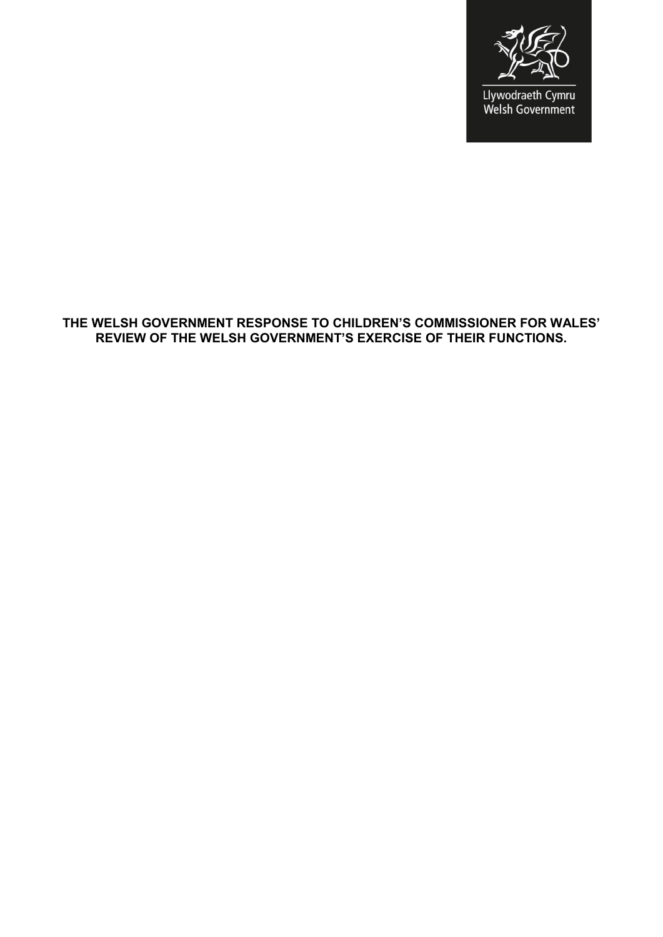

#### **THE WELSH GOVERNMENT RESPONSE TO CHILDREN'S COMMISSIONER FOR WALES' REVIEW OF THE WELSH GOVERNMENT'S EXERCISE OF THEIR FUNCTIONS.**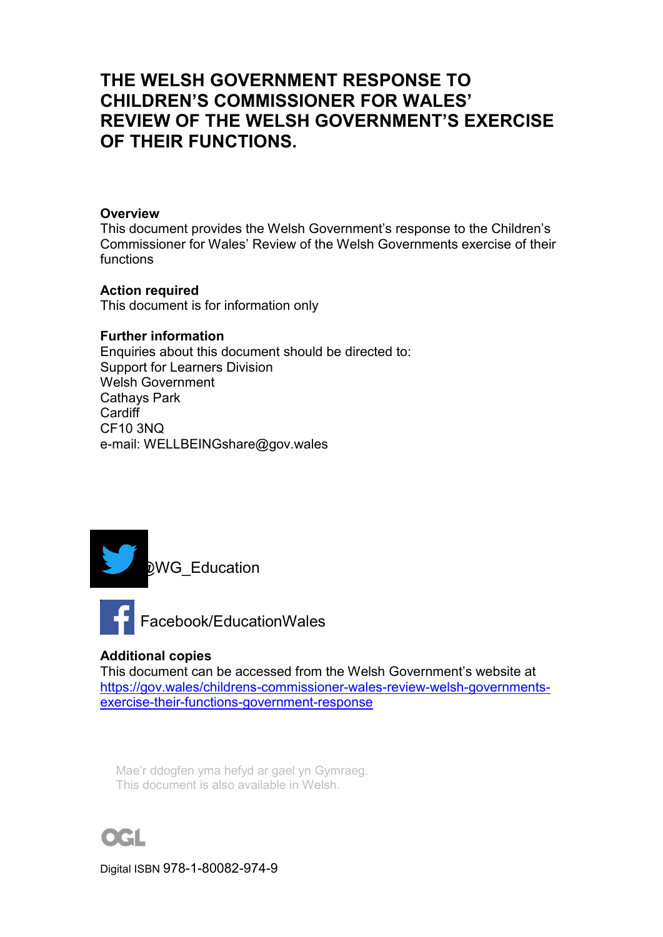# **THE WELSH GOVERNMENT RESPONSE TO CHILDREN'S COMMISSIONER FOR WALES' REVIEW OF THE WELSH GOVERNMENT'S EXERCISE OF THEIR FUNCTIONS.**

#### **Overview**

This document provides the Welsh Government's response to the Children's Commissioner for Wales' Review of the Welsh Governments exercise of their functions

## **Action required**

This document is for information only

#### **Further information**

Enquiries about this document should be directed to: Support for Learners Division Welsh Government Cathays Park Cardiff CF10 3NQ e-mail: WELLBEINGshare@gov.wales





## **Additional copies**

This document can be accessed from the Welsh Government's website at [https://gov.wales/childrens-commissioner-wales-review-welsh-governments](https://eur01.safelinks.protection.outlook.com/?url=https%3A%2F%2Fgov.wales%2Fchildrens-commissioner-wales-review-welsh-governments-exercise-their-functions-government-response&data=04%7C01%7CWendy.Thomas2%40gov.wales%7Cbf1649b3c8924e68298008d8ed1ff316%7Ca2cc36c592804ae78887d06dab89216b%7C0%7C0%7C637520068756591703%7CUnknown%7CTWFpbGZsb3d8eyJWIjoiMC4wLjAwMDAiLCJQIjoiV2luMzIiLCJBTiI6Ik1haWwiLCJXVCI6Mn0%3D%7C1000&sdata=7p7uLd70i527a%2BXyUFczy1E%2BMYyg8cKrNWremfHgNAo%3D&reserved=0)[exercise-their-functions-government-response](https://eur01.safelinks.protection.outlook.com/?url=https%3A%2F%2Fgov.wales%2Fchildrens-commissioner-wales-review-welsh-governments-exercise-their-functions-government-response&data=04%7C01%7CWendy.Thomas2%40gov.wales%7Cbf1649b3c8924e68298008d8ed1ff316%7Ca2cc36c592804ae78887d06dab89216b%7C0%7C0%7C637520068756591703%7CUnknown%7CTWFpbGZsb3d8eyJWIjoiMC4wLjAwMDAiLCJQIjoiV2luMzIiLCJBTiI6Ik1haWwiLCJXVCI6Mn0%3D%7C1000&sdata=7p7uLd70i527a%2BXyUFczy1E%2BMYyg8cKrNWremfHgNAo%3D&reserved=0)

Mae'r ddogfen yma hefyd ar gael yn Gymraeg. This document is also available in Welsh.



Digital ISBN 978-1-80082-974-9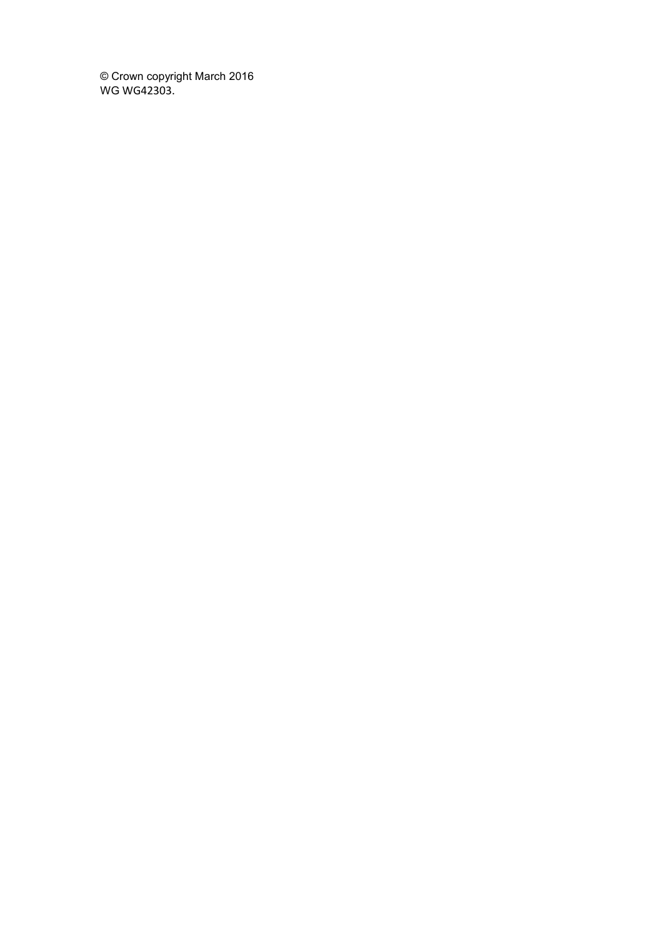© Crown copyright March 2016 WG WG42303.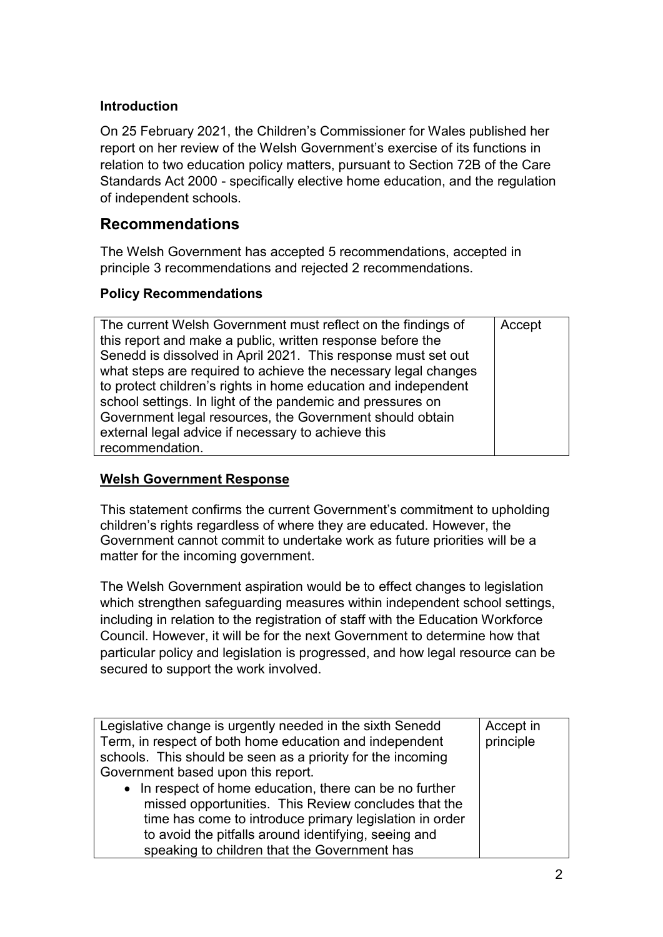## **Introduction**

On 25 February 2021, the Children's Commissioner for Wales published her report on her review of the Welsh Government's exercise of its functions in relation to two education policy matters, pursuant to Section 72B of the Care Standards Act 2000 - specifically elective home education, and the regulation of independent schools.

## **Recommendations**

The Welsh Government has accepted 5 recommendations, accepted in principle 3 recommendations and rejected 2 recommendations.

## **Policy Recommendations**

| The current Welsh Government must reflect on the findings of   | Accept |
|----------------------------------------------------------------|--------|
| this report and make a public, written response before the     |        |
| Senedd is dissolved in April 2021. This response must set out  |        |
| what steps are required to achieve the necessary legal changes |        |
| to protect children's rights in home education and independent |        |
| school settings. In light of the pandemic and pressures on     |        |
| Government legal resources, the Government should obtain       |        |
| external legal advice if necessary to achieve this             |        |
| recommendation.                                                |        |

## **Welsh Government Response**

This statement confirms the current Government's commitment to upholding children's rights regardless of where they are educated. However, the Government cannot commit to undertake work as future priorities will be a matter for the incoming government.

The Welsh Government aspiration would be to effect changes to legislation which strengthen safeguarding measures within independent school settings, including in relation to the registration of staff with the Education Workforce Council. However, it will be for the next Government to determine how that particular policy and legislation is progressed, and how legal resource can be secured to support the work involved.

| Legislative change is urgently needed in the sixth Senedd<br>Term, in respect of both home education and independent<br>schools. This should be seen as a priority for the incoming                                                | Accept in<br>principle |
|------------------------------------------------------------------------------------------------------------------------------------------------------------------------------------------------------------------------------------|------------------------|
| Government based upon this report.                                                                                                                                                                                                 |                        |
| • In respect of home education, there can be no further<br>missed opportunities. This Review concludes that the<br>time has come to introduce primary legislation in order<br>to avoid the pitfalls around identifying, seeing and |                        |
| speaking to children that the Government has                                                                                                                                                                                       |                        |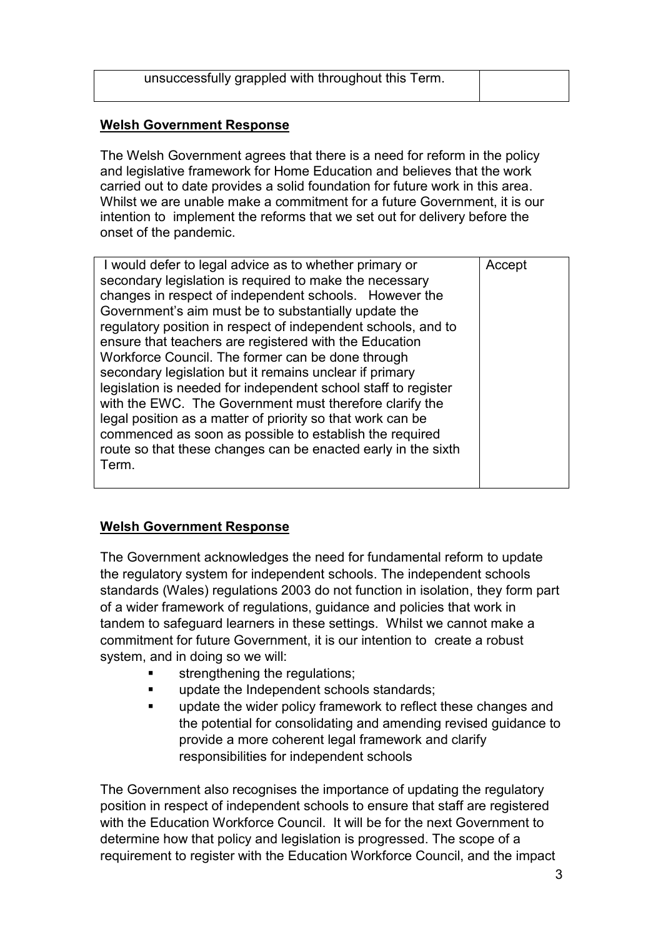| unsuccessfully grappled with throughout this Term. |  |
|----------------------------------------------------|--|
|                                                    |  |

### **Welsh Government Response**

The Welsh Government agrees that there is a need for reform in the policy and legislative framework for Home Education and believes that the work carried out to date provides a solid foundation for future work in this area. Whilst we are unable make a commitment for a future Government, it is our intention to implement the reforms that we set out for delivery before the onset of the pandemic.

| I would defer to legal advice as to whether primary or         | Accept |
|----------------------------------------------------------------|--------|
|                                                                |        |
| secondary legislation is required to make the necessary        |        |
| changes in respect of independent schools. However the         |        |
| Government's aim must be to substantially update the           |        |
| regulatory position in respect of independent schools, and to  |        |
| ensure that teachers are registered with the Education         |        |
| Workforce Council. The former can be done through              |        |
| secondary legislation but it remains unclear if primary        |        |
| legislation is needed for independent school staff to register |        |
| with the EWC. The Government must therefore clarify the        |        |
| legal position as a matter of priority so that work can be     |        |
| commenced as soon as possible to establish the required        |        |
| route so that these changes can be enacted early in the sixth  |        |
| Term.                                                          |        |
|                                                                |        |
|                                                                |        |

## **Welsh Government Response**

The Government acknowledges the need for fundamental reform to update the regulatory system for independent schools. The independent schools standards (Wales) regulations 2003 do not function in isolation, they form part of a wider framework of regulations, guidance and policies that work in tandem to safeguard learners in these settings. Whilst we cannot make a commitment for future Government, it is our intention to create a robust system, and in doing so we will:

- strengthening the regulations;
- update the Independent schools standards;
- update the wider policy framework to reflect these changes and the potential for consolidating and amending revised guidance to provide a more coherent legal framework and clarify responsibilities for independent schools

The Government also recognises the importance of updating the regulatory position in respect of independent schools to ensure that staff are registered with the Education Workforce Council. It will be for the next Government to determine how that policy and legislation is progressed. The scope of a requirement to register with the Education Workforce Council, and the impact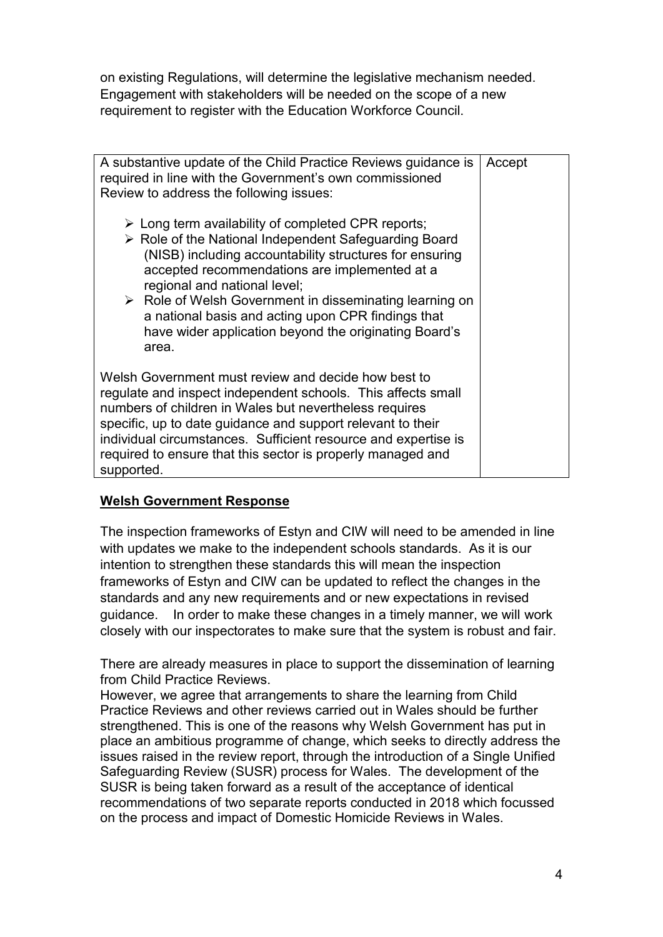on existing Regulations, will determine the legislative mechanism needed. Engagement with stakeholders will be needed on the scope of a new requirement to register with the Education Workforce Council.

| A substantive update of the Child Practice Reviews guidance is<br>required in line with the Government's own commissioned<br>Review to address the following issues:<br>$\triangleright$ Long term availability of completed CPR reports;<br>▶ Role of the National Independent Safeguarding Board<br>(NISB) including accountability structures for ensuring<br>accepted recommendations are implemented at a<br>regional and national level;<br>$\triangleright$ Role of Welsh Government in disseminating learning on<br>a national basis and acting upon CPR findings that<br>have wider application beyond the originating Board's | Accept |
|-----------------------------------------------------------------------------------------------------------------------------------------------------------------------------------------------------------------------------------------------------------------------------------------------------------------------------------------------------------------------------------------------------------------------------------------------------------------------------------------------------------------------------------------------------------------------------------------------------------------------------------------|--------|
| area.<br>Welsh Government must review and decide how best to<br>regulate and inspect independent schools. This affects small<br>numbers of children in Wales but nevertheless requires<br>specific, up to date guidance and support relevant to their<br>individual circumstances. Sufficient resource and expertise is<br>required to ensure that this sector is properly managed and<br>supported.                                                                                                                                                                                                                                    |        |

## **Welsh Government Response**

The inspection frameworks of Estyn and CIW will need to be amended in line with updates we make to the independent schools standards. As it is our intention to strengthen these standards this will mean the inspection frameworks of Estyn and CIW can be updated to reflect the changes in the standards and any new requirements and or new expectations in revised guidance. In order to make these changes in a timely manner, we will work closely with our inspectorates to make sure that the system is robust and fair.

There are already measures in place to support the dissemination of learning from Child Practice Reviews.

However, we agree that arrangements to share the learning from Child Practice Reviews and other reviews carried out in Wales should be further strengthened. This is one of the reasons why Welsh Government has put in place an ambitious programme of change, which seeks to directly address the issues raised in the review report, through the introduction of a Single Unified Safeguarding Review (SUSR) process for Wales. The development of the SUSR is being taken forward as a result of the acceptance of identical recommendations of two separate reports conducted in 2018 which focussed on the process and impact of Domestic Homicide Reviews in Wales.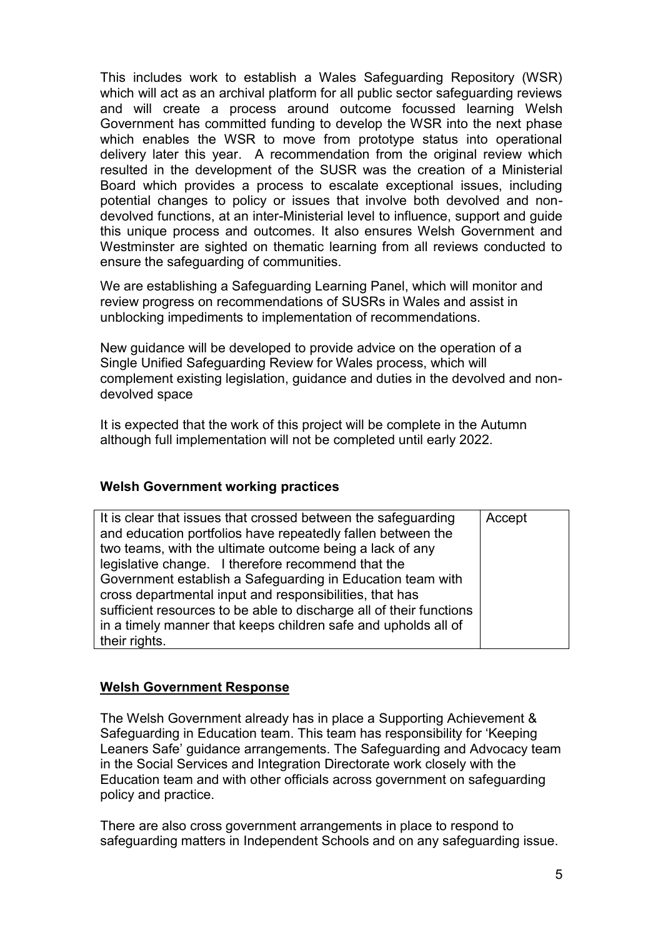This includes work to establish a Wales Safeguarding Repository (WSR) which will act as an archival platform for all public sector safeguarding reviews and will create a process around outcome focussed learning Welsh Government has committed funding to develop the WSR into the next phase which enables the WSR to move from prototype status into operational delivery later this year. A recommendation from the original review which resulted in the development of the SUSR was the creation of a Ministerial Board which provides a process to escalate exceptional issues, including potential changes to policy or issues that involve both devolved and nondevolved functions, at an inter-Ministerial level to influence, support and guide this unique process and outcomes. It also ensures Welsh Government and Westminster are sighted on thematic learning from all reviews conducted to ensure the safeguarding of communities.

We are establishing a Safeguarding Learning Panel, which will monitor and review progress on recommendations of SUSRs in Wales and assist in unblocking impediments to implementation of recommendations.

New guidance will be developed to provide advice on the operation of a Single Unified Safeguarding Review for Wales process, which will complement existing legislation, guidance and duties in the devolved and nondevolved space

It is expected that the work of this project will be complete in the Autumn although full implementation will not be completed until early 2022.

#### **Welsh Government working practices**

| It is clear that issues that crossed between the safeguarding<br>and education portfolios have repeatedly fallen between the | Accept |
|------------------------------------------------------------------------------------------------------------------------------|--------|
| two teams, with the ultimate outcome being a lack of any                                                                     |        |
| legislative change. I therefore recommend that the                                                                           |        |
| Government establish a Safeguarding in Education team with                                                                   |        |
| cross departmental input and responsibilities, that has                                                                      |        |
| sufficient resources to be able to discharge all of their functions                                                          |        |
| in a timely manner that keeps children safe and upholds all of                                                               |        |
| their rights.                                                                                                                |        |

#### **Welsh Government Response**

The Welsh Government already has in place a Supporting Achievement & Safeguarding in Education team. This team has responsibility for 'Keeping Leaners Safe' guidance arrangements. The Safeguarding and Advocacy team in the Social Services and Integration Directorate work closely with the Education team and with other officials across government on safeguarding policy and practice.

There are also cross government arrangements in place to respond to safeguarding matters in Independent Schools and on any safeguarding issue.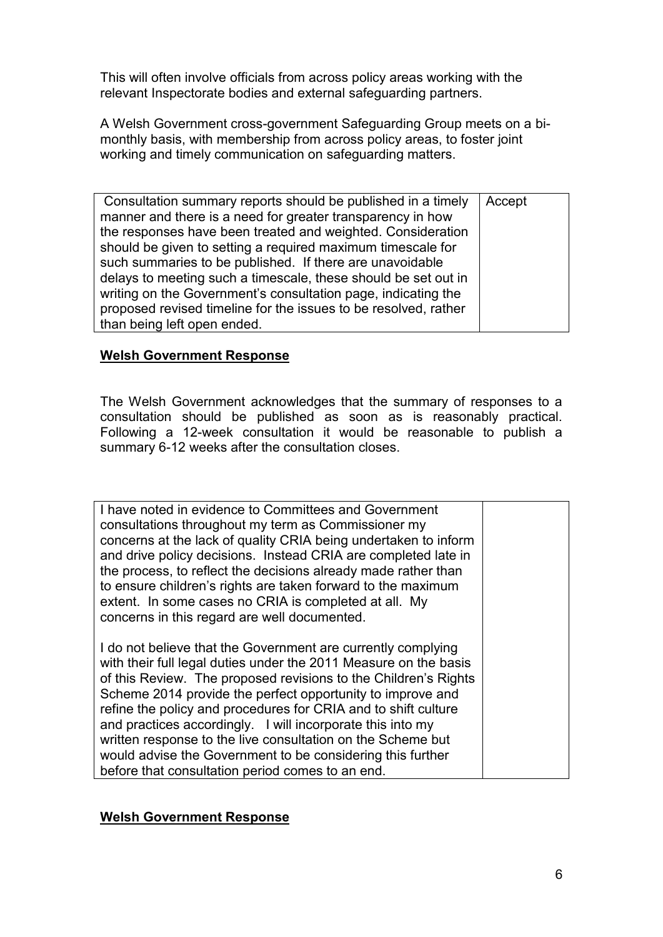This will often involve officials from across policy areas working with the relevant Inspectorate bodies and external safeguarding partners.

A Welsh Government cross-government Safeguarding Group meets on a bimonthly basis, with membership from across policy areas, to foster joint working and timely communication on safeguarding matters.

| Consultation summary reports should be published in a timely    | Accept |
|-----------------------------------------------------------------|--------|
| manner and there is a need for greater transparency in how      |        |
| the responses have been treated and weighted. Consideration     |        |
| should be given to setting a required maximum timescale for     |        |
| such summaries to be published. If there are unavoidable        |        |
| delays to meeting such a timescale, these should be set out in  |        |
| writing on the Government's consultation page, indicating the   |        |
| proposed revised timeline for the issues to be resolved, rather |        |
| than being left open ended.                                     |        |

#### **Welsh Government Response**

The Welsh Government acknowledges that the summary of responses to a consultation should be published as soon as is reasonably practical. Following a 12-week consultation it would be reasonable to publish a summary 6-12 weeks after the consultation closes.

| I have noted in evidence to Committees and Government<br>consultations throughout my term as Commissioner my<br>concerns at the lack of quality CRIA being undertaken to inform<br>and drive policy decisions. Instead CRIA are completed late in<br>the process, to reflect the decisions already made rather than<br>to ensure children's rights are taken forward to the maximum<br>extent. In some cases no CRIA is completed at all. My<br>concerns in this regard are well documented.                                                                                       |  |
|------------------------------------------------------------------------------------------------------------------------------------------------------------------------------------------------------------------------------------------------------------------------------------------------------------------------------------------------------------------------------------------------------------------------------------------------------------------------------------------------------------------------------------------------------------------------------------|--|
| I do not believe that the Government are currently complying<br>with their full legal duties under the 2011 Measure on the basis<br>of this Review. The proposed revisions to the Children's Rights<br>Scheme 2014 provide the perfect opportunity to improve and<br>refine the policy and procedures for CRIA and to shift culture<br>and practices accordingly. I will incorporate this into my<br>written response to the live consultation on the Scheme but<br>would advise the Government to be considering this further<br>before that consultation period comes to an end. |  |

#### **Welsh Government Response**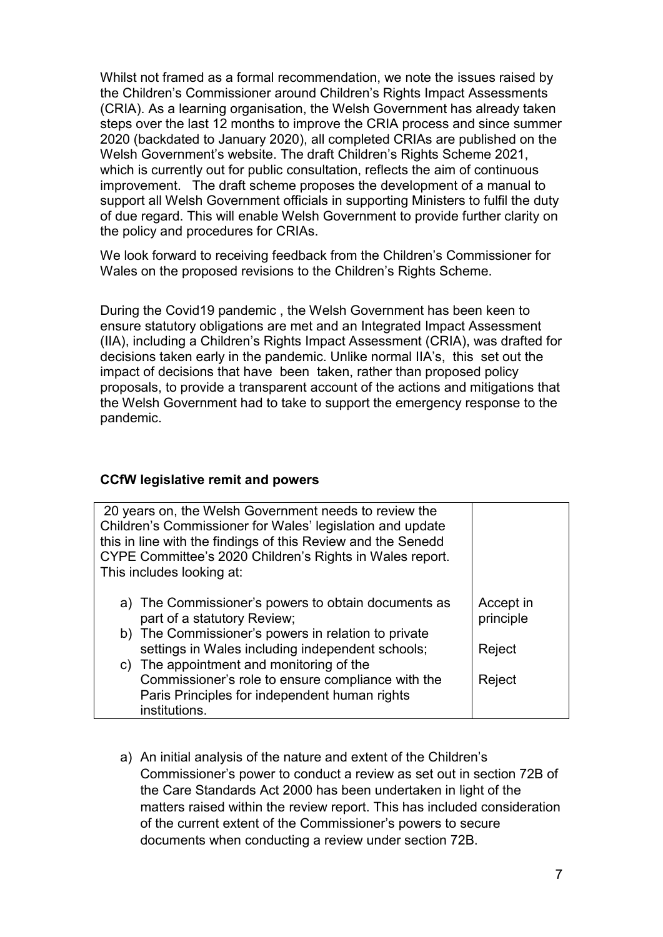Whilst not framed as a formal recommendation, we note the issues raised by the Children's Commissioner around Children's Rights Impact Assessments (CRIA). As a learning organisation, the Welsh Government has already taken steps over the last 12 months to improve the CRIA process and since summer 2020 (backdated to January 2020), all completed CRIAs are published on the Welsh Government's website. The draft Children's Rights Scheme 2021, which is currently out for public consultation, reflects the aim of continuous improvement. The draft scheme proposes the development of a manual to support all Welsh Government officials in supporting Ministers to fulfil the duty of due regard. This will enable Welsh Government to provide further clarity on the policy and procedures for CRIAs.

We look forward to receiving feedback from the Children's Commissioner for Wales on the proposed revisions to the Children's Rights Scheme.

During the Covid19 pandemic , the Welsh Government has been keen to ensure statutory obligations are met and an Integrated Impact Assessment (IIA), including a Children's Rights Impact Assessment (CRIA), was drafted for decisions taken early in the pandemic. Unlike normal IIA's, this set out the impact of decisions that have been taken, rather than proposed policy proposals, to provide a transparent account of the actions and mitigations that the Welsh Government had to take to support the emergency response to the pandemic.

#### **CCfW legislative remit and powers**

| 20 years on, the Welsh Government needs to review the<br>Children's Commissioner for Wales' legislation and update<br>this in line with the findings of this Review and the Senedd<br>CYPE Committee's 2020 Children's Rights in Wales report.<br>This includes looking at: |                        |
|-----------------------------------------------------------------------------------------------------------------------------------------------------------------------------------------------------------------------------------------------------------------------------|------------------------|
| a) The Commissioner's powers to obtain documents as<br>part of a statutory Review;                                                                                                                                                                                          | Accept in<br>principle |
| b) The Commissioner's powers in relation to private<br>settings in Wales including independent schools;                                                                                                                                                                     | Reject                 |
| c) The appointment and monitoring of the<br>Commissioner's role to ensure compliance with the                                                                                                                                                                               | Reject                 |
| Paris Principles for independent human rights<br>institutions.                                                                                                                                                                                                              |                        |

a) An initial analysis of the nature and extent of the Children's Commissioner's power to conduct a review as set out in section 72B of the Care Standards Act 2000 has been undertaken in light of the matters raised within the review report. This has included consideration of the current extent of the Commissioner's powers to secure documents when conducting a review under section 72B.